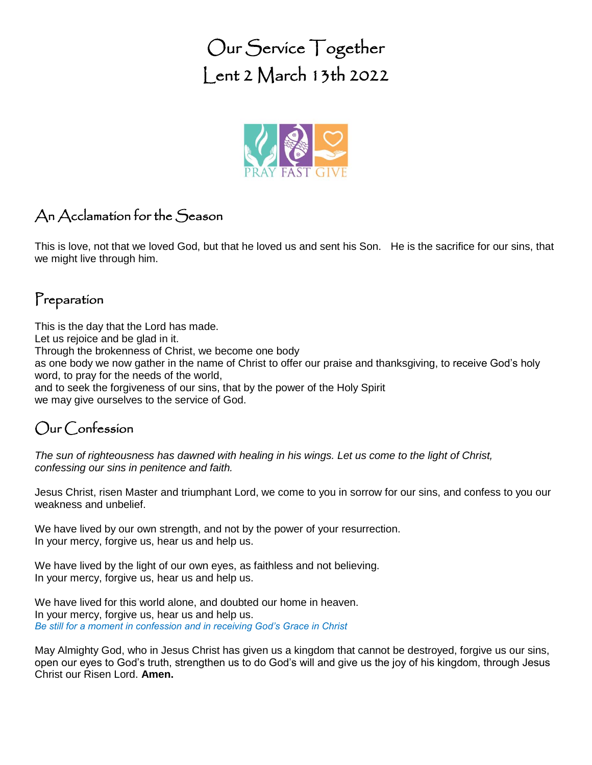Our Service Together Lent 2 March 13th 2022



# An Acclamation for the Season

This is love, not that we loved God, but that he loved us and sent his Son. He is the sacrifice for our sins, that we might live through him.

#### Preparation

This is the day that the Lord has made. Let us rejoice and be glad in it. Through the brokenness of Christ, we become one body as one body we now gather in the name of Christ to offer our praise and thanksgiving, to receive God's holy word, to pray for the needs of the world, and to seek the forgiveness of our sins, that by the power of the Holy Spirit we may give ourselves to the service of God.

# Our Confession

*The sun of righteousness has dawned with healing in his wings. Let us come to the light of Christ, confessing our sins in penitence and faith.*

Jesus Christ, risen Master and triumphant Lord, we come to you in sorrow for our sins, and confess to you our weakness and unbelief.

We have lived by our own strength, and not by the power of your resurrection. In your mercy, forgive us, hear us and help us.

We have lived by the light of our own eyes, as faithless and not believing. In your mercy, forgive us, hear us and help us.

We have lived for this world alone, and doubted our home in heaven. In your mercy, forgive us, hear us and help us. *Be still for a moment in confession and in receiving God's Grace in Christ*

May Almighty God, who in Jesus Christ has given us a kingdom that cannot be destroyed, forgive us our sins, open our eyes to God's truth, strengthen us to do God's will and give us the joy of his kingdom, through Jesus Christ our Risen Lord. **Amen.**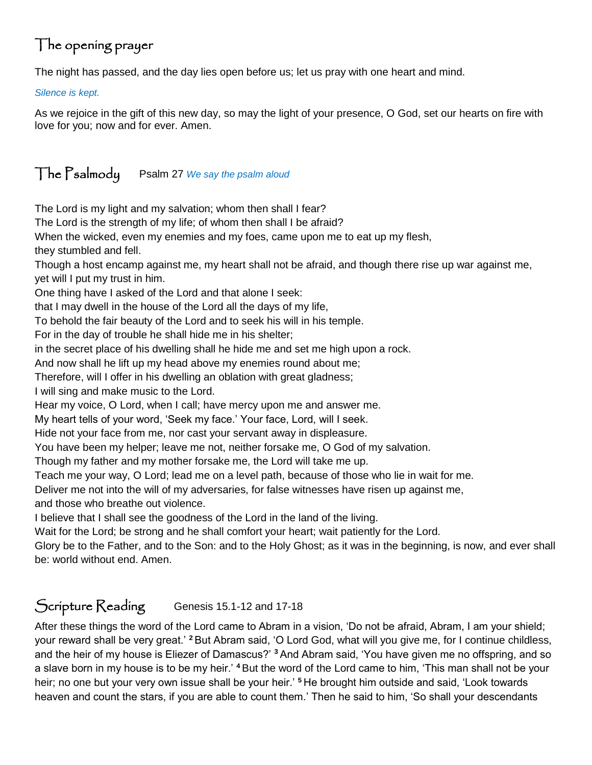# The opening prayer

The night has passed, and the day lies open before us; let us pray with one heart and mind.

*Silence is kept.*

As we rejoice in the gift of this new day, so may the light of your presence, O God, set our hearts on fire with love for you; now and for ever. Amen.

# The Psalmody Psalm 27 *We say the psalm aloud*

The Lord is my light and my salvation; whom then shall I fear?

The Lord is the strength of my life; of whom then shall I be afraid?

When the wicked, even my enemies and my foes, came upon me to eat up my flesh,

they stumbled and fell.

Though a host encamp against me, my heart shall not be afraid, and though there rise up war against me, yet will I put my trust in him.

One thing have I asked of the Lord and that alone I seek:

that I may dwell in the house of the Lord all the days of my life,

To behold the fair beauty of the Lord and to seek his will in his temple.

For in the day of trouble he shall hide me in his shelter;

in the secret place of his dwelling shall he hide me and set me high upon a rock.

And now shall he lift up my head above my enemies round about me;

Therefore, will I offer in his dwelling an oblation with great gladness;

I will sing and make music to the Lord.

Hear my voice, O Lord, when I call; have mercy upon me and answer me.

My heart tells of your word, 'Seek my face.' Your face, Lord, will I seek.

Hide not your face from me, nor cast your servant away in displeasure.

You have been my helper; leave me not, neither forsake me, O God of my salvation.

Though my father and my mother forsake me, the Lord will take me up.

Teach me your way, O Lord; lead me on a level path, because of those who lie in wait for me.

Deliver me not into the will of my adversaries, for false witnesses have risen up against me,

and those who breathe out violence.

I believe that I shall see the goodness of the Lord in the land of the living.

Wait for the Lord; be strong and he shall comfort your heart; wait patiently for the Lord.

Glory be to the Father, and to the Son: and to the Holy Ghost; as it was in the beginning, is now, and ever shall be: world without end. Amen.

# Scripture Reading Genesis 15.1-12 and 17-18

After these things the word of the Lord came to Abram in a vision, 'Do not be afraid, Abram, I am your shield; your reward shall be very great.' **<sup>2</sup>**But Abram said, 'O Lord God, what will you give me, for I continue childless, and the heir of my house is Eliezer of Damascus?' **<sup>3</sup>** And Abram said, 'You have given me no offspring, and so a slave born in my house is to be my heir.' **<sup>4</sup>** But the word of the Lord came to him, 'This man shall not be your heir; no one but your very own issue shall be your heir.' **<sup>5</sup>** He brought him outside and said, 'Look towards heaven and count the stars, if you are able to count them.' Then he said to him, 'So shall your descendants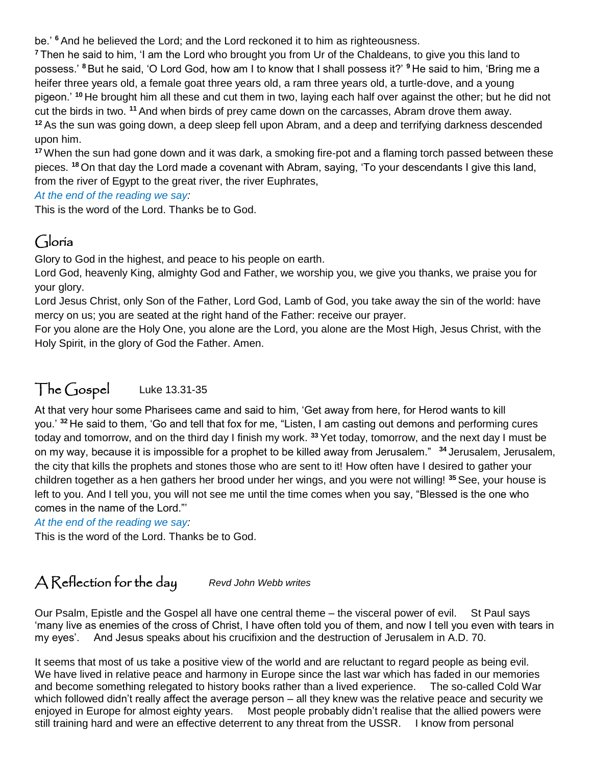be.' **<sup>6</sup>** And he believed the Lord; and the Lord reckoned it to him as righteousness.

**<sup>7</sup>** Then he said to him, 'I am the Lord who brought you from Ur of the Chaldeans, to give you this land to possess.' **<sup>8</sup>**But he said, 'O Lord God, how am I to know that I shall possess it?' **<sup>9</sup>** He said to him, 'Bring me a heifer three years old, a female goat three years old, a ram three years old, a turtle-dove, and a young pigeon.' **<sup>10</sup>** He brought him all these and cut them in two, laying each half over against the other; but he did not cut the birds in two. **<sup>11</sup>** And when birds of prey came down on the carcasses, Abram drove them away. **<sup>12</sup>** As the sun was going down, a deep sleep fell upon Abram, and a deep and terrifying darkness descended upon him.

**<sup>17</sup>** When the sun had gone down and it was dark, a smoking fire-pot and a flaming torch passed between these pieces. **<sup>18</sup>** On that day the Lord made a covenant with Abram, saying, 'To your descendants I give this land, from the river of Egypt to the great river, the river Euphrates,

*At the end of the reading we say:*

This is the word of the Lord. Thanks be to God.

# Gloria

Glory to God in the highest, and peace to his people on earth.

Lord God, heavenly King, almighty God and Father, we worship you, we give you thanks, we praise you for your glory.

Lord Jesus Christ, only Son of the Father, Lord God, Lamb of God, you take away the sin of the world: have mercy on us; you are seated at the right hand of the Father: receive our prayer.

For you alone are the Holy One, you alone are the Lord, you alone are the Most High, Jesus Christ, with the Holy Spirit, in the glory of God the Father. Amen.

## The Gospel Luke 13.31-35

At that very hour some Pharisees came and said to him, 'Get away from here, for Herod wants to kill you.' **<sup>32</sup>** He said to them, 'Go and tell that fox for me, "Listen, I am casting out demons and performing cures today and tomorrow, and on the third day I finish my work. **<sup>33</sup>** Yet today, tomorrow, and the next day I must be on my way, because it is impossible for a prophet to be killed away from Jerusalem." **<sup>34</sup>** Jerusalem, Jerusalem, the city that kills the prophets and stones those who are sent to it! How often have I desired to gather your children together as a hen gathers her brood under her wings, and you were not willing! **<sup>35</sup>** See, your house is left to you. And I tell you, you will not see me until the time comes when you say, "Blessed is the one who comes in the name of the Lord."'

*At the end of the reading we say:*

This is the word of the Lord. Thanks be to God.

### A Reflection for the day *Revd John Webb writes*

Our Psalm, Epistle and the Gospel all have one central theme – the visceral power of evil. St Paul says 'many live as enemies of the cross of Christ, I have often told you of them, and now I tell you even with tears in my eyes'. And Jesus speaks about his crucifixion and the destruction of Jerusalem in A.D. 70.

It seems that most of us take a positive view of the world and are reluctant to regard people as being evil. We have lived in relative peace and harmony in Europe since the last war which has faded in our memories and become something relegated to history books rather than a lived experience. The so-called Cold War which followed didn't really affect the average person – all they knew was the relative peace and security we enjoyed in Europe for almost eighty years. Most people probably didn't realise that the allied powers were still training hard and were an effective deterrent to any threat from the USSR. I know from personal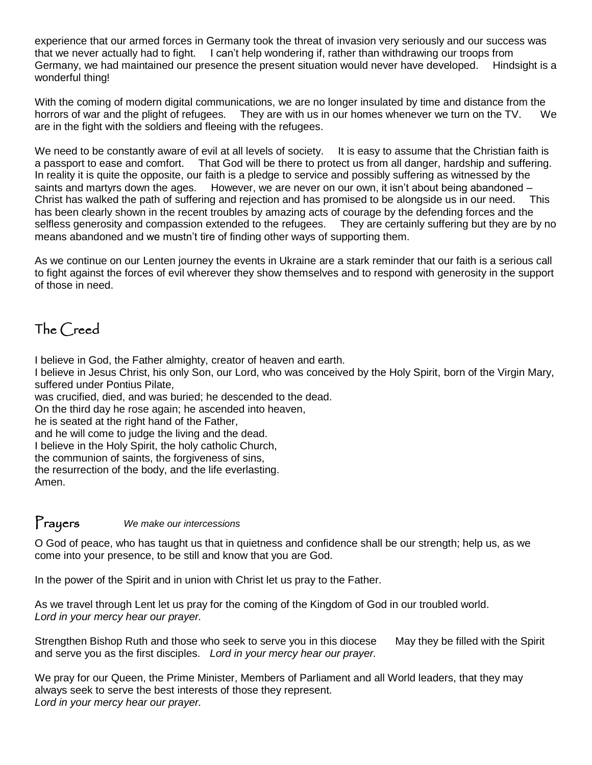experience that our armed forces in Germany took the threat of invasion very seriously and our success was that we never actually had to fight. I can't help wondering if, rather than withdrawing our troops from Germany, we had maintained our presence the present situation would never have developed. Hindsight is a wonderful thing!

With the coming of modern digital communications, we are no longer insulated by time and distance from the horrors of war and the plight of refugees. They are with us in our homes whenever we turn on the TV. We are in the fight with the soldiers and fleeing with the refugees.

We need to be constantly aware of evil at all levels of society. It is easy to assume that the Christian faith is a passport to ease and comfort. That God will be there to protect us from all danger, hardship and suffering. In reality it is quite the opposite, our faith is a pledge to service and possibly suffering as witnessed by the saints and martyrs down the ages. However, we are never on our own, it isn't about being abandoned – Christ has walked the path of suffering and rejection and has promised to be alongside us in our need. This has been clearly shown in the recent troubles by amazing acts of courage by the defending forces and the selfless generosity and compassion extended to the refugees. They are certainly suffering but they are by no means abandoned and we mustn't tire of finding other ways of supporting them.

As we continue on our Lenten journey the events in Ukraine are a stark reminder that our faith is a serious call to fight against the forces of evil wherever they show themselves and to respond with generosity in the support of those in need.

# The Creed

I believe in God, the Father almighty, creator of heaven and earth.

I believe in Jesus Christ, his only Son, our Lord, who was conceived by the Holy Spirit, born of the Virgin Mary, suffered under Pontius Pilate,

was crucified, died, and was buried; he descended to the dead.

On the third day he rose again; he ascended into heaven,

he is seated at the right hand of the Father,

and he will come to judge the living and the dead.

I believe in the Holy Spirit, the holy catholic Church,

the communion of saints, the forgiveness of sins,

the resurrection of the body, and the life everlasting.

Amen.

#### Prayers *We make our intercessions*

O God of peace, who has taught us that in quietness and confidence shall be our strength; help us, as we come into your presence, to be still and know that you are God.

In the power of the Spirit and in union with Christ let us pray to the Father.

As we travel through Lent let us pray for the coming of the Kingdom of God in our troubled world. *Lord in your mercy hear our prayer.*

Strengthen Bishop Ruth and those who seek to serve you in this diocese May they be filled with the Spirit and serve you as the first disciples. *Lord in your mercy hear our prayer.*

We pray for our Queen, the Prime Minister, Members of Parliament and all World leaders, that they may always seek to serve the best interests of those they represent. *Lord in your mercy hear our prayer.*